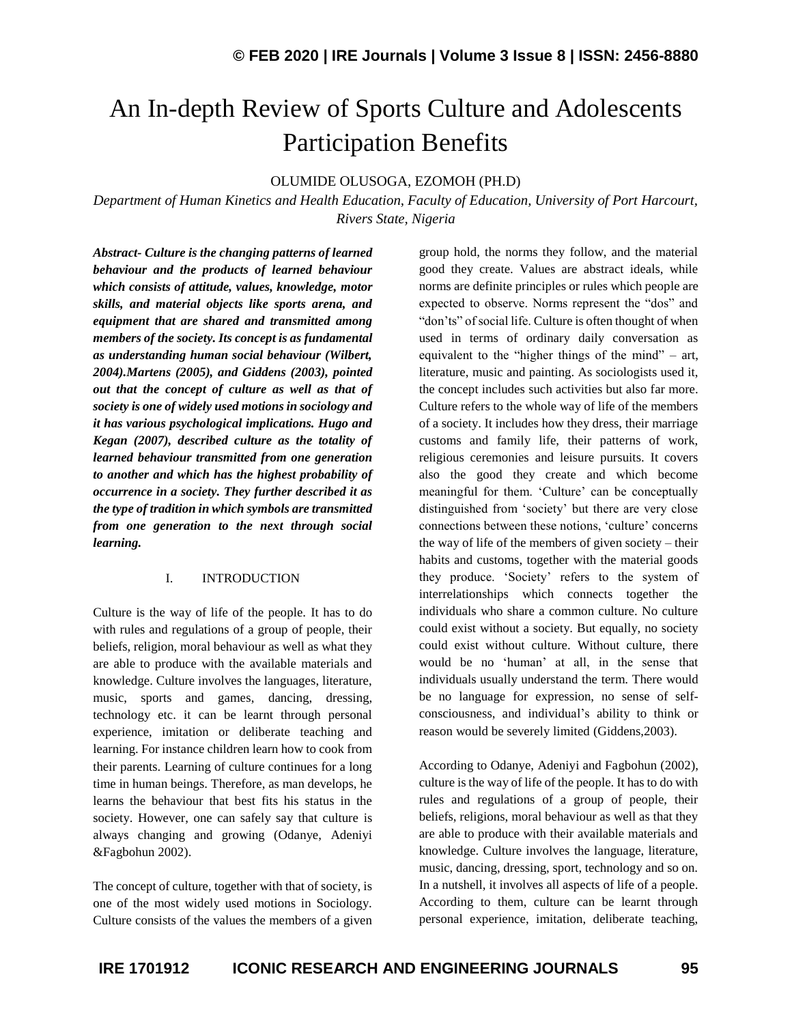# An In-depth Review of Sports Culture and Adolescents Participation Benefits

## OLUMIDE OLUSOGA, EZOMOH (PH.D)

*Department of Human Kinetics and Health Education, Faculty of Education, University of Port Harcourt, Rivers State, Nigeria*

*Abstract- Culture is the changing patterns of learned behaviour and the products of learned behaviour which consists of attitude, values, knowledge, motor skills, and material objects like sports arena, and equipment that are shared and transmitted among members of the society. Its concept is as fundamental as understanding human social behaviour (Wilbert, 2004).Martens (2005), and Giddens (2003), pointed out that the concept of culture as well as that of society is one of widely used motions in sociology and it has various psychological implications. Hugo and Kegan (2007), described culture as the totality of learned behaviour transmitted from one generation to another and which has the highest probability of occurrence in a society. They further described it as the type of tradition in which symbols are transmitted from one generation to the next through social learning.*

## I. INTRODUCTION

Culture is the way of life of the people. It has to do with rules and regulations of a group of people, their beliefs, religion, moral behaviour as well as what they are able to produce with the available materials and knowledge. Culture involves the languages, literature, music, sports and games, dancing, dressing, technology etc. it can be learnt through personal experience, imitation or deliberate teaching and learning. For instance children learn how to cook from their parents. Learning of culture continues for a long time in human beings. Therefore, as man develops, he learns the behaviour that best fits his status in the society. However, one can safely say that culture is always changing and growing (Odanye, Adeniyi &Fagbohun 2002).

The concept of culture, together with that of society, is one of the most widely used motions in Sociology. Culture consists of the values the members of a given group hold, the norms they follow, and the material good they create. Values are abstract ideals, while norms are definite principles or rules which people are expected to observe. Norms represent the "dos" and "don'ts" of social life. Culture is often thought of when used in terms of ordinary daily conversation as equivalent to the "higher things of the mind" – art, literature, music and painting. As sociologists used it, the concept includes such activities but also far more. Culture refers to the whole way of life of the members of a society. It includes how they dress, their marriage customs and family life, their patterns of work, religious ceremonies and leisure pursuits. It covers also the good they create and which become meaningful for them. 'Culture' can be conceptually distinguished from 'society' but there are very close connections between these notions, 'culture' concerns the way of life of the members of given society – their habits and customs, together with the material goods they produce. 'Society' refers to the system of interrelationships which connects together the individuals who share a common culture. No culture could exist without a society. But equally, no society could exist without culture. Without culture, there would be no 'human' at all, in the sense that individuals usually understand the term. There would be no language for expression, no sense of selfconsciousness, and individual's ability to think or reason would be severely limited (Giddens,2003).

According to Odanye, Adeniyi and Fagbohun (2002), culture is the way of life of the people. It has to do with rules and regulations of a group of people, their beliefs, religions, moral behaviour as well as that they are able to produce with their available materials and knowledge. Culture involves the language, literature, music, dancing, dressing, sport, technology and so on. In a nutshell, it involves all aspects of life of a people. According to them, culture can be learnt through personal experience, imitation, deliberate teaching,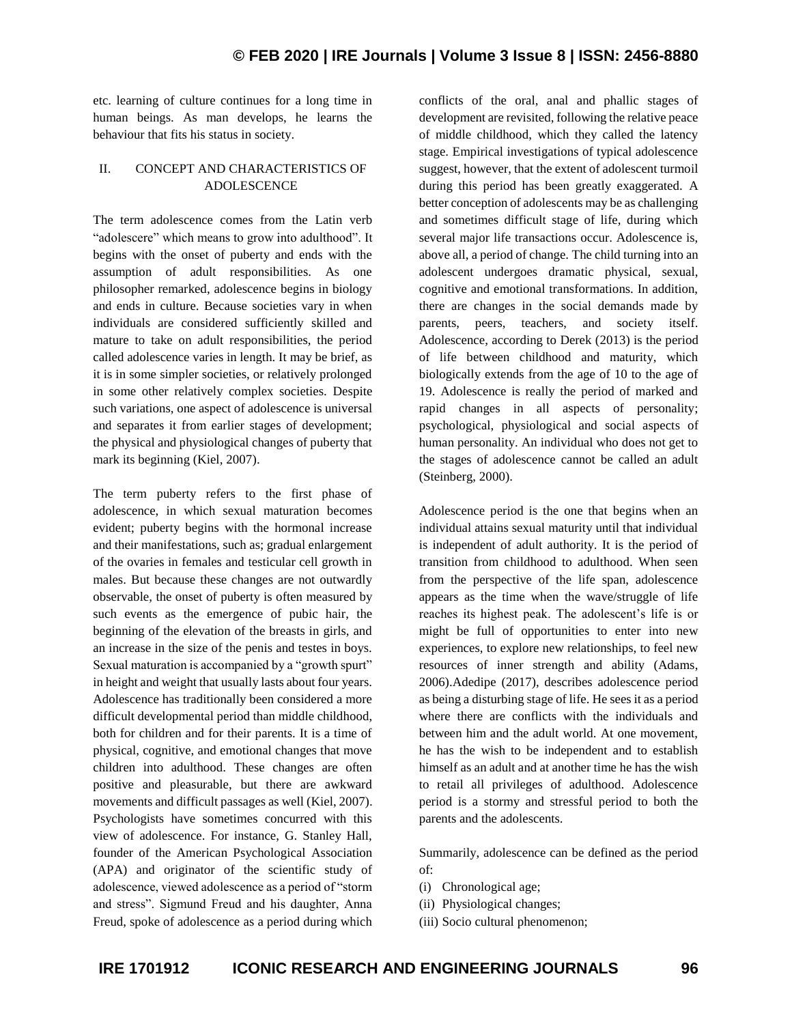etc. learning of culture continues for a long time in human beings. As man develops, he learns the behaviour that fits his status in society.

## II. CONCEPT AND CHARACTERISTICS OF ADOLESCENCE

The term adolescence comes from the Latin verb "adolescere" which means to grow into adulthood". It begins with the onset of puberty and ends with the assumption of adult responsibilities. As one philosopher remarked, adolescence begins in biology and ends in culture. Because societies vary in when individuals are considered sufficiently skilled and mature to take on adult responsibilities, the period called adolescence varies in length. It may be brief, as it is in some simpler societies, or relatively prolonged in some other relatively complex societies. Despite such variations, one aspect of adolescence is universal and separates it from earlier stages of development; the physical and physiological changes of puberty that mark its beginning (Kiel, 2007).

The term puberty refers to the first phase of adolescence, in which sexual maturation becomes evident; puberty begins with the hormonal increase and their manifestations, such as; gradual enlargement of the ovaries in females and testicular cell growth in males. But because these changes are not outwardly observable, the onset of puberty is often measured by such events as the emergence of pubic hair, the beginning of the elevation of the breasts in girls, and an increase in the size of the penis and testes in boys. Sexual maturation is accompanied by a "growth spurt" in height and weight that usually lasts about four years. Adolescence has traditionally been considered a more difficult developmental period than middle childhood, both for children and for their parents. It is a time of physical, cognitive, and emotional changes that move children into adulthood. These changes are often positive and pleasurable, but there are awkward movements and difficult passages as well (Kiel, 2007). Psychologists have sometimes concurred with this view of adolescence. For instance, G. Stanley Hall, founder of the American Psychological Association (APA) and originator of the scientific study of adolescence, viewed adolescence as a period of "storm and stress". Sigmund Freud and his daughter, Anna Freud, spoke of adolescence as a period during which conflicts of the oral, anal and phallic stages of development are revisited, following the relative peace of middle childhood, which they called the latency stage. Empirical investigations of typical adolescence suggest, however, that the extent of adolescent turmoil during this period has been greatly exaggerated. A better conception of adolescents may be as challenging and sometimes difficult stage of life, during which several major life transactions occur. Adolescence is, above all, a period of change. The child turning into an adolescent undergoes dramatic physical, sexual, cognitive and emotional transformations. In addition, there are changes in the social demands made by parents, peers, teachers, and society itself. Adolescence, according to Derek (2013) is the period of life between childhood and maturity, which biologically extends from the age of 10 to the age of 19. Adolescence is really the period of marked and rapid changes in all aspects of personality; psychological, physiological and social aspects of human personality. An individual who does not get to the stages of adolescence cannot be called an adult (Steinberg, 2000).

Adolescence period is the one that begins when an individual attains sexual maturity until that individual is independent of adult authority. It is the period of transition from childhood to adulthood. When seen from the perspective of the life span, adolescence appears as the time when the wave/struggle of life reaches its highest peak. The adolescent's life is or might be full of opportunities to enter into new experiences, to explore new relationships, to feel new resources of inner strength and ability (Adams, 2006).Adedipe (2017), describes adolescence period as being a disturbing stage of life. He sees it as a period where there are conflicts with the individuals and between him and the adult world. At one movement, he has the wish to be independent and to establish himself as an adult and at another time he has the wish to retail all privileges of adulthood. Adolescence period is a stormy and stressful period to both the parents and the adolescents.

Summarily, adolescence can be defined as the period of:

- (i) Chronological age;
- (ii) Physiological changes;
- (iii) Socio cultural phenomenon;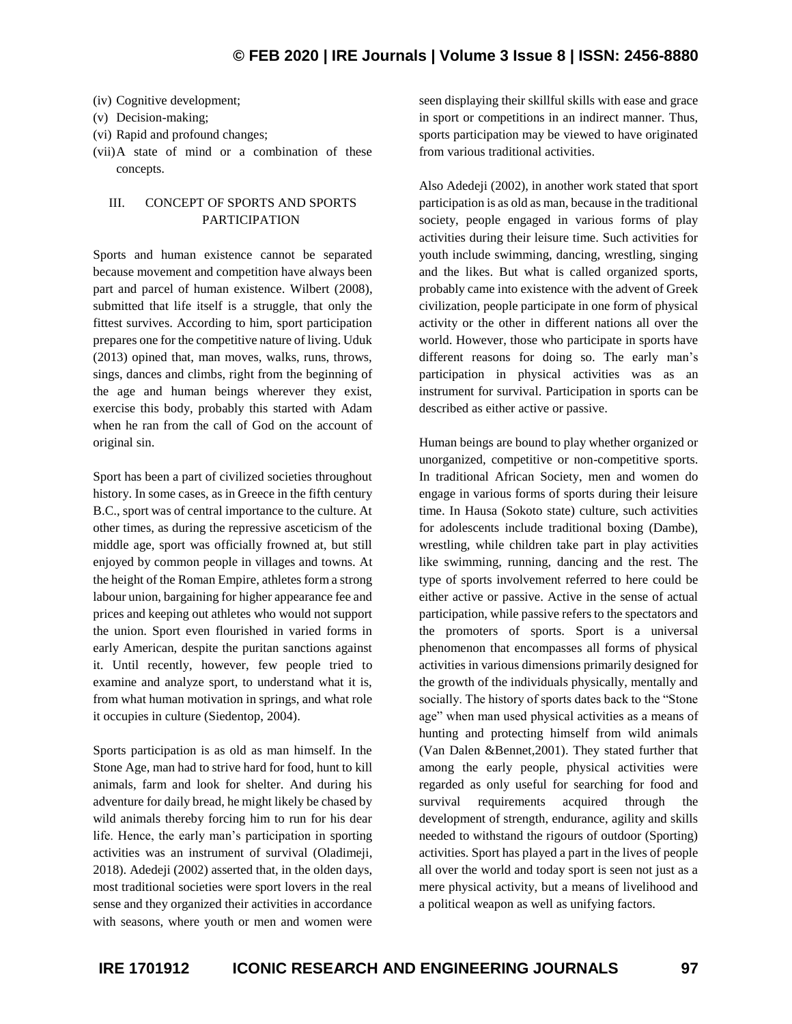- (iv) Cognitive development;
- (v) Decision-making;
- (vi) Rapid and profound changes;
- (vii)A state of mind or a combination of these concepts.

## III. CONCEPT OF SPORTS AND SPORTS PARTICIPATION

Sports and human existence cannot be separated because movement and competition have always been part and parcel of human existence. Wilbert (2008), submitted that life itself is a struggle, that only the fittest survives. According to him, sport participation prepares one for the competitive nature of living. Uduk (2013) opined that, man moves, walks, runs, throws, sings, dances and climbs, right from the beginning of the age and human beings wherever they exist, exercise this body, probably this started with Adam when he ran from the call of God on the account of original sin.

Sport has been a part of civilized societies throughout history. In some cases, as in Greece in the fifth century B.C., sport was of central importance to the culture. At other times, as during the repressive asceticism of the middle age, sport was officially frowned at, but still enjoyed by common people in villages and towns. At the height of the Roman Empire, athletes form a strong labour union, bargaining for higher appearance fee and prices and keeping out athletes who would not support the union. Sport even flourished in varied forms in early American, despite the puritan sanctions against it. Until recently, however, few people tried to examine and analyze sport, to understand what it is, from what human motivation in springs, and what role it occupies in culture (Siedentop, 2004).

Sports participation is as old as man himself. In the Stone Age, man had to strive hard for food, hunt to kill animals, farm and look for shelter. And during his adventure for daily bread, he might likely be chased by wild animals thereby forcing him to run for his dear life. Hence, the early man's participation in sporting activities was an instrument of survival (Oladimeji, 2018). Adedeji (2002) asserted that, in the olden days, most traditional societies were sport lovers in the real sense and they organized their activities in accordance with seasons, where youth or men and women were

seen displaying their skillful skills with ease and grace in sport or competitions in an indirect manner. Thus, sports participation may be viewed to have originated from various traditional activities.

Also Adedeji (2002), in another work stated that sport participation is as old as man, because in the traditional society, people engaged in various forms of play activities during their leisure time. Such activities for youth include swimming, dancing, wrestling, singing and the likes. But what is called organized sports, probably came into existence with the advent of Greek civilization, people participate in one form of physical activity or the other in different nations all over the world. However, those who participate in sports have different reasons for doing so. The early man's participation in physical activities was as an instrument for survival. Participation in sports can be described as either active or passive.

Human beings are bound to play whether organized or unorganized, competitive or non-competitive sports. In traditional African Society, men and women do engage in various forms of sports during their leisure time. In Hausa (Sokoto state) culture, such activities for adolescents include traditional boxing (Dambe), wrestling, while children take part in play activities like swimming, running, dancing and the rest. The type of sports involvement referred to here could be either active or passive. Active in the sense of actual participation, while passive refers to the spectators and the promoters of sports. Sport is a universal phenomenon that encompasses all forms of physical activities in various dimensions primarily designed for the growth of the individuals physically, mentally and socially. The history of sports dates back to the "Stone age" when man used physical activities as a means of hunting and protecting himself from wild animals (Van Dalen &Bennet,2001). They stated further that among the early people, physical activities were regarded as only useful for searching for food and survival requirements acquired through the development of strength, endurance, agility and skills needed to withstand the rigours of outdoor (Sporting) activities. Sport has played a part in the lives of people all over the world and today sport is seen not just as a mere physical activity, but a means of livelihood and a political weapon as well as unifying factors.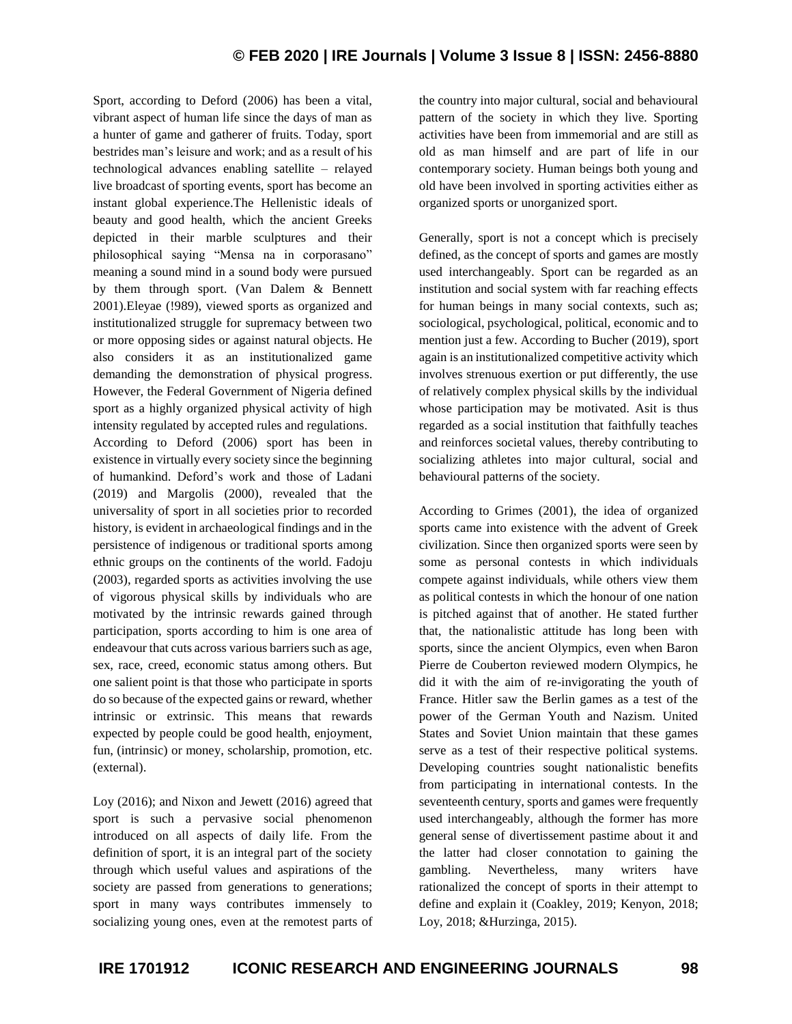Sport, according to Deford (2006) has been a vital, vibrant aspect of human life since the days of man as a hunter of game and gatherer of fruits. Today, sport bestrides man's leisure and work; and as a result of his technological advances enabling satellite – relayed live broadcast of sporting events, sport has become an instant global experience.The Hellenistic ideals of beauty and good health, which the ancient Greeks depicted in their marble sculptures and their philosophical saying "Mensa na in corporasano" meaning a sound mind in a sound body were pursued by them through sport. (Van Dalem & Bennett 2001).Eleyae (!989), viewed sports as organized and institutionalized struggle for supremacy between two or more opposing sides or against natural objects. He also considers it as an institutionalized game demanding the demonstration of physical progress. However, the Federal Government of Nigeria defined sport as a highly organized physical activity of high intensity regulated by accepted rules and regulations. According to Deford (2006) sport has been in existence in virtually every society since the beginning of humankind. Deford's work and those of Ladani (2019) and Margolis (2000), revealed that the universality of sport in all societies prior to recorded history, is evident in archaeological findings and in the persistence of indigenous or traditional sports among ethnic groups on the continents of the world. Fadoju (2003), regarded sports as activities involving the use of vigorous physical skills by individuals who are motivated by the intrinsic rewards gained through participation, sports according to him is one area of endeavour that cuts across various barriers such as age, sex, race, creed, economic status among others. But one salient point is that those who participate in sports do so because of the expected gains or reward, whether intrinsic or extrinsic. This means that rewards expected by people could be good health, enjoyment, fun, (intrinsic) or money, scholarship, promotion, etc. (external).

Loy (2016); and Nixon and Jewett (2016) agreed that sport is such a pervasive social phenomenon introduced on all aspects of daily life. From the definition of sport, it is an integral part of the society through which useful values and aspirations of the society are passed from generations to generations; sport in many ways contributes immensely to socializing young ones, even at the remotest parts of the country into major cultural, social and behavioural pattern of the society in which they live. Sporting activities have been from immemorial and are still as old as man himself and are part of life in our contemporary society. Human beings both young and old have been involved in sporting activities either as organized sports or unorganized sport.

Generally, sport is not a concept which is precisely defined, as the concept of sports and games are mostly used interchangeably. Sport can be regarded as an institution and social system with far reaching effects for human beings in many social contexts, such as; sociological, psychological, political, economic and to mention just a few. According to Bucher (2019), sport again is an institutionalized competitive activity which involves strenuous exertion or put differently, the use of relatively complex physical skills by the individual whose participation may be motivated. Asit is thus regarded as a social institution that faithfully teaches and reinforces societal values, thereby contributing to socializing athletes into major cultural, social and behavioural patterns of the society.

According to Grimes (2001), the idea of organized sports came into existence with the advent of Greek civilization. Since then organized sports were seen by some as personal contests in which individuals compete against individuals, while others view them as political contests in which the honour of one nation is pitched against that of another. He stated further that, the nationalistic attitude has long been with sports, since the ancient Olympics, even when Baron Pierre de Couberton reviewed modern Olympics, he did it with the aim of re-invigorating the youth of France. Hitler saw the Berlin games as a test of the power of the German Youth and Nazism. United States and Soviet Union maintain that these games serve as a test of their respective political systems. Developing countries sought nationalistic benefits from participating in international contests. In the seventeenth century, sports and games were frequently used interchangeably, although the former has more general sense of divertissement pastime about it and the latter had closer connotation to gaining the gambling. Nevertheless, many writers have rationalized the concept of sports in their attempt to define and explain it (Coakley, 2019; Kenyon, 2018; Loy, 2018; &Hurzinga, 2015).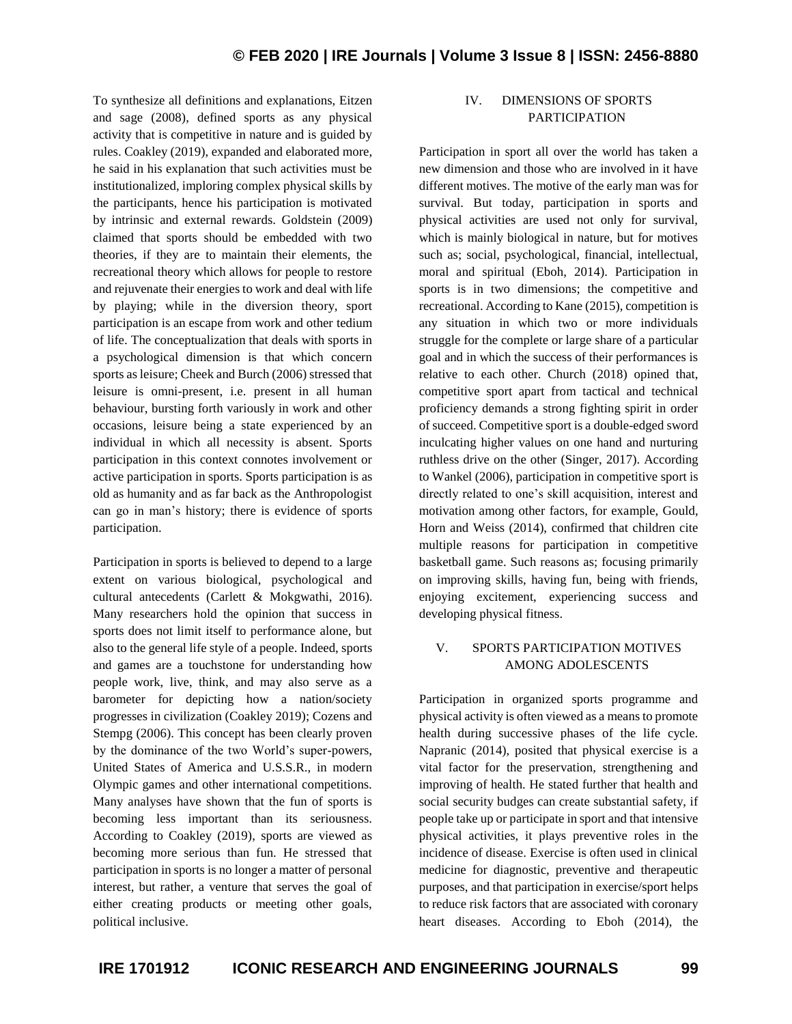To synthesize all definitions and explanations, Eitzen and sage (2008), defined sports as any physical activity that is competitive in nature and is guided by rules. Coakley (2019), expanded and elaborated more, he said in his explanation that such activities must be institutionalized, imploring complex physical skills by the participants, hence his participation is motivated by intrinsic and external rewards. Goldstein (2009) claimed that sports should be embedded with two theories, if they are to maintain their elements, the recreational theory which allows for people to restore and rejuvenate their energies to work and deal with life by playing; while in the diversion theory, sport participation is an escape from work and other tedium of life. The conceptualization that deals with sports in a psychological dimension is that which concern sports as leisure; Cheek and Burch (2006) stressed that leisure is omni-present, i.e. present in all human behaviour, bursting forth variously in work and other occasions, leisure being a state experienced by an individual in which all necessity is absent. Sports participation in this context connotes involvement or active participation in sports. Sports participation is as old as humanity and as far back as the Anthropologist can go in man's history; there is evidence of sports participation.

Participation in sports is believed to depend to a large extent on various biological, psychological and cultural antecedents (Carlett & Mokgwathi, 2016). Many researchers hold the opinion that success in sports does not limit itself to performance alone, but also to the general life style of a people. Indeed, sports and games are a touchstone for understanding how people work, live, think, and may also serve as a barometer for depicting how a nation/society progresses in civilization (Coakley 2019); Cozens and Stempg (2006). This concept has been clearly proven by the dominance of the two World's super-powers, United States of America and U.S.S.R., in modern Olympic games and other international competitions. Many analyses have shown that the fun of sports is becoming less important than its seriousness. According to Coakley (2019), sports are viewed as becoming more serious than fun. He stressed that participation in sports is no longer a matter of personal interest, but rather, a venture that serves the goal of either creating products or meeting other goals, political inclusive.

# IV. DIMENSIONS OF SPORTS PARTICIPATION

Participation in sport all over the world has taken a new dimension and those who are involved in it have different motives. The motive of the early man was for survival. But today, participation in sports and physical activities are used not only for survival, which is mainly biological in nature, but for motives such as; social, psychological, financial, intellectual, moral and spiritual (Eboh, 2014). Participation in sports is in two dimensions; the competitive and recreational. According to Kane (2015), competition is any situation in which two or more individuals struggle for the complete or large share of a particular goal and in which the success of their performances is relative to each other. Church (2018) opined that, competitive sport apart from tactical and technical proficiency demands a strong fighting spirit in order of succeed. Competitive sport is a double-edged sword inculcating higher values on one hand and nurturing ruthless drive on the other (Singer, 2017). According to Wankel (2006), participation in competitive sport is directly related to one's skill acquisition, interest and motivation among other factors, for example, Gould, Horn and Weiss (2014), confirmed that children cite multiple reasons for participation in competitive basketball game. Such reasons as; focusing primarily on improving skills, having fun, being with friends, enjoying excitement, experiencing success and developing physical fitness.

# V. SPORTS PARTICIPATION MOTIVES AMONG ADOLESCENTS

Participation in organized sports programme and physical activity is often viewed as a means to promote health during successive phases of the life cycle. Napranic (2014), posited that physical exercise is a vital factor for the preservation, strengthening and improving of health. He stated further that health and social security budges can create substantial safety, if people take up or participate in sport and that intensive physical activities, it plays preventive roles in the incidence of disease. Exercise is often used in clinical medicine for diagnostic, preventive and therapeutic purposes, and that participation in exercise/sport helps to reduce risk factors that are associated with coronary heart diseases. According to Eboh (2014), the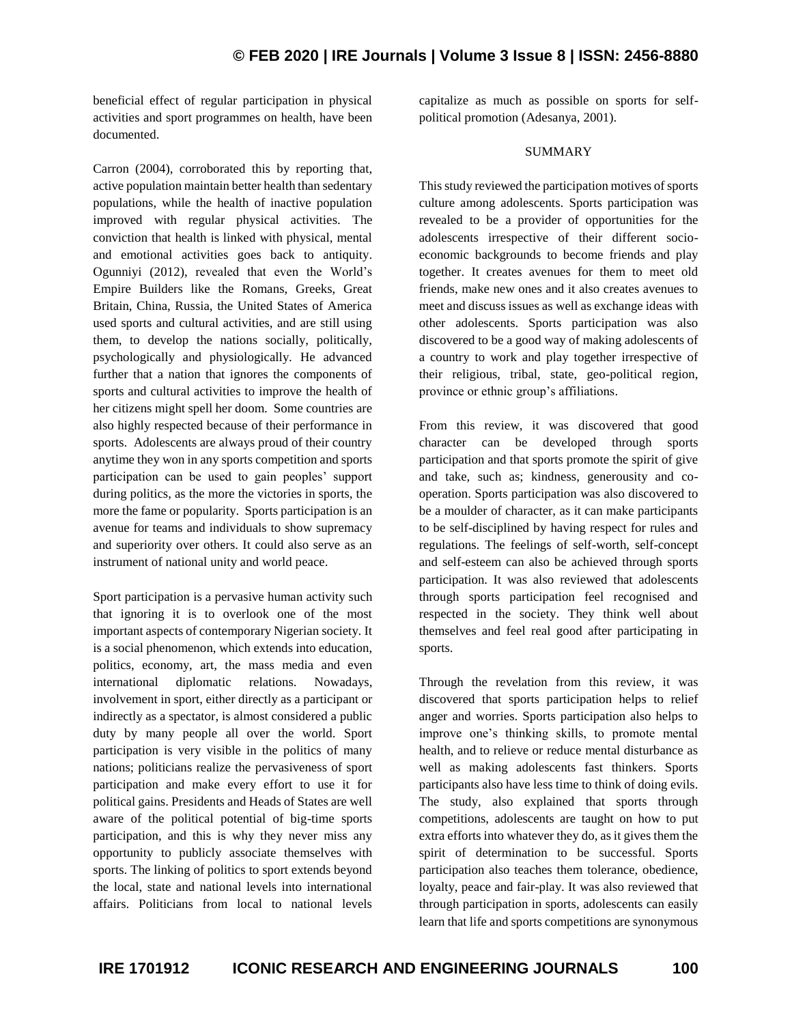beneficial effect of regular participation in physical activities and sport programmes on health, have been documented.

Carron (2004), corroborated this by reporting that, active population maintain better health than sedentary populations, while the health of inactive population improved with regular physical activities. The conviction that health is linked with physical, mental and emotional activities goes back to antiquity. Ogunniyi (2012), revealed that even the World's Empire Builders like the Romans, Greeks, Great Britain, China, Russia, the United States of America used sports and cultural activities, and are still using them, to develop the nations socially, politically, psychologically and physiologically. He advanced further that a nation that ignores the components of sports and cultural activities to improve the health of her citizens might spell her doom. Some countries are also highly respected because of their performance in sports. Adolescents are always proud of their country anytime they won in any sports competition and sports participation can be used to gain peoples' support during politics, as the more the victories in sports, the more the fame or popularity. Sports participation is an avenue for teams and individuals to show supremacy and superiority over others. It could also serve as an instrument of national unity and world peace.

Sport participation is a pervasive human activity such that ignoring it is to overlook one of the most important aspects of contemporary Nigerian society. It is a social phenomenon, which extends into education, politics, economy, art, the mass media and even international diplomatic relations. Nowadays, involvement in sport, either directly as a participant or indirectly as a spectator, is almost considered a public duty by many people all over the world. Sport participation is very visible in the politics of many nations; politicians realize the pervasiveness of sport participation and make every effort to use it for political gains. Presidents and Heads of States are well aware of the political potential of big-time sports participation, and this is why they never miss any opportunity to publicly associate themselves with sports. The linking of politics to sport extends beyond the local, state and national levels into international affairs. Politicians from local to national levels

capitalize as much as possible on sports for selfpolitical promotion (Adesanya, 2001).

#### SUMMARY

This study reviewed the participation motives of sports culture among adolescents. Sports participation was revealed to be a provider of opportunities for the adolescents irrespective of their different socioeconomic backgrounds to become friends and play together. It creates avenues for them to meet old friends, make new ones and it also creates avenues to meet and discuss issues as well as exchange ideas with other adolescents. Sports participation was also discovered to be a good way of making adolescents of a country to work and play together irrespective of their religious, tribal, state, geo-political region, province or ethnic group's affiliations.

From this review, it was discovered that good character can be developed through sports participation and that sports promote the spirit of give and take, such as; kindness, generousity and cooperation. Sports participation was also discovered to be a moulder of character, as it can make participants to be self-disciplined by having respect for rules and regulations. The feelings of self-worth, self-concept and self-esteem can also be achieved through sports participation. It was also reviewed that adolescents through sports participation feel recognised and respected in the society. They think well about themselves and feel real good after participating in sports.

Through the revelation from this review, it was discovered that sports participation helps to relief anger and worries. Sports participation also helps to improve one's thinking skills, to promote mental health, and to relieve or reduce mental disturbance as well as making adolescents fast thinkers. Sports participants also have less time to think of doing evils. The study, also explained that sports through competitions, adolescents are taught on how to put extra efforts into whatever they do, as it gives them the spirit of determination to be successful. Sports participation also teaches them tolerance, obedience, loyalty, peace and fair-play. It was also reviewed that through participation in sports, adolescents can easily learn that life and sports competitions are synonymous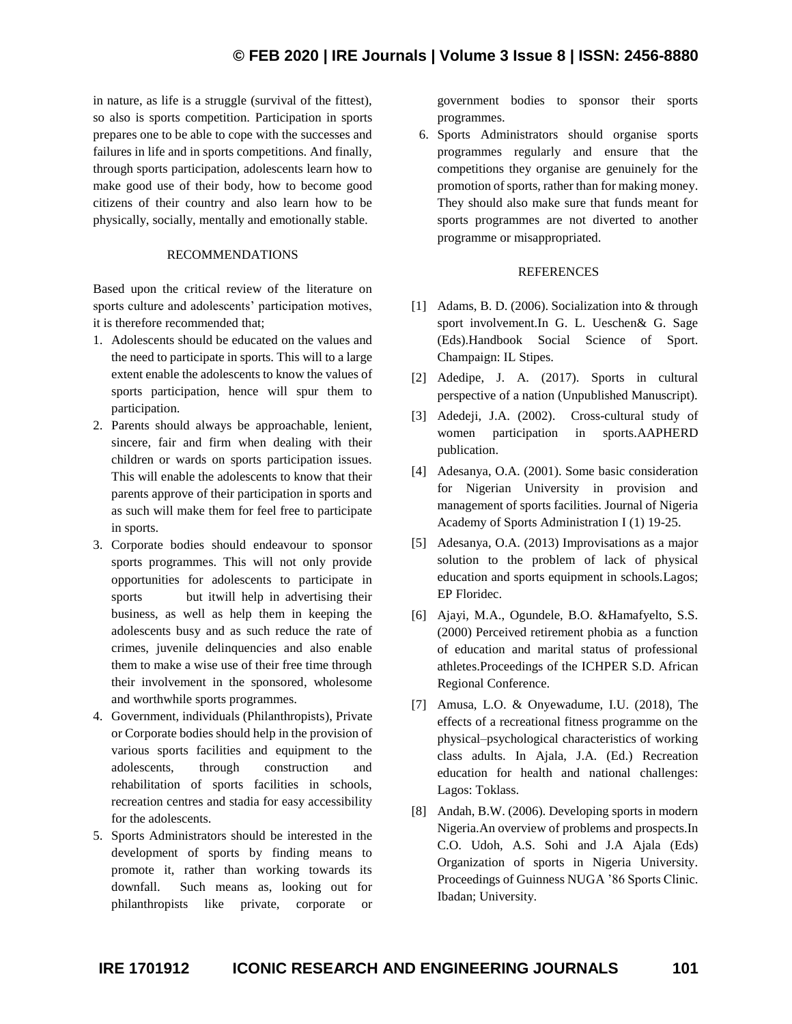in nature, as life is a struggle (survival of the fittest), so also is sports competition. Participation in sports prepares one to be able to cope with the successes and failures in life and in sports competitions. And finally, through sports participation, adolescents learn how to make good use of their body, how to become good citizens of their country and also learn how to be physically, socially, mentally and emotionally stable.

#### RECOMMENDATIONS

Based upon the critical review of the literature on sports culture and adolescents' participation motives, it is therefore recommended that;

- 1. Adolescents should be educated on the values and the need to participate in sports. This will to a large extent enable the adolescents to know the values of sports participation, hence will spur them to participation.
- 2. Parents should always be approachable, lenient, sincere, fair and firm when dealing with their children or wards on sports participation issues. This will enable the adolescents to know that their parents approve of their participation in sports and as such will make them for feel free to participate in sports.
- 3. Corporate bodies should endeavour to sponsor sports programmes. This will not only provide opportunities for adolescents to participate in sports but it will help in advertising their business, as well as help them in keeping the adolescents busy and as such reduce the rate of crimes, juvenile delinquencies and also enable them to make a wise use of their free time through their involvement in the sponsored, wholesome and worthwhile sports programmes.
- 4. Government, individuals (Philanthropists), Private or Corporate bodies should help in the provision of various sports facilities and equipment to the adolescents, through construction and rehabilitation of sports facilities in schools, recreation centres and stadia for easy accessibility for the adolescents.
- 5. Sports Administrators should be interested in the development of sports by finding means to promote it, rather than working towards its downfall. Such means as, looking out for philanthropists like private, corporate or

government bodies to sponsor their sports programmes.

6. Sports Administrators should organise sports programmes regularly and ensure that the competitions they organise are genuinely for the promotion of sports, rather than for making money. They should also make sure that funds meant for sports programmes are not diverted to another programme or misappropriated.

#### REFERENCES

- [1] Adams, B. D. (2006). Socialization into & through sport involvement.In G. L. Ueschen& G. Sage (Eds).Handbook Social Science of Sport. Champaign: IL Stipes.
- [2] Adedipe, J. A. (2017). Sports in cultural perspective of a nation (Unpublished Manuscript).
- [3] Adedeji, J.A. (2002). Cross-cultural study of women participation in sports.AAPHERD publication.
- [4] Adesanya, O.A. (2001). Some basic consideration for Nigerian University in provision and management of sports facilities. Journal of Nigeria Academy of Sports Administration I (1) 19-25.
- [5] Adesanya, O.A. (2013) Improvisations as a major solution to the problem of lack of physical education and sports equipment in schools.Lagos; EP Floridec.
- [6] Ajayi, M.A., Ogundele, B.O. &Hamafyelto, S.S. (2000) Perceived retirement phobia as a function of education and marital status of professional athletes.Proceedings of the ICHPER S.D. African Regional Conference.
- [7] Amusa, L.O. & Onyewadume, I.U. (2018), The effects of a recreational fitness programme on the physical–psychological characteristics of working class adults. In Ajala, J.A. (Ed.) Recreation education for health and national challenges: Lagos: Toklass.
- [8] Andah, B.W. (2006). Developing sports in modern Nigeria.An overview of problems and prospects.In C.O. Udoh, A.S. Sohi and J.A Ajala (Eds) Organization of sports in Nigeria University. Proceedings of Guinness NUGA '86 Sports Clinic. Ibadan; University.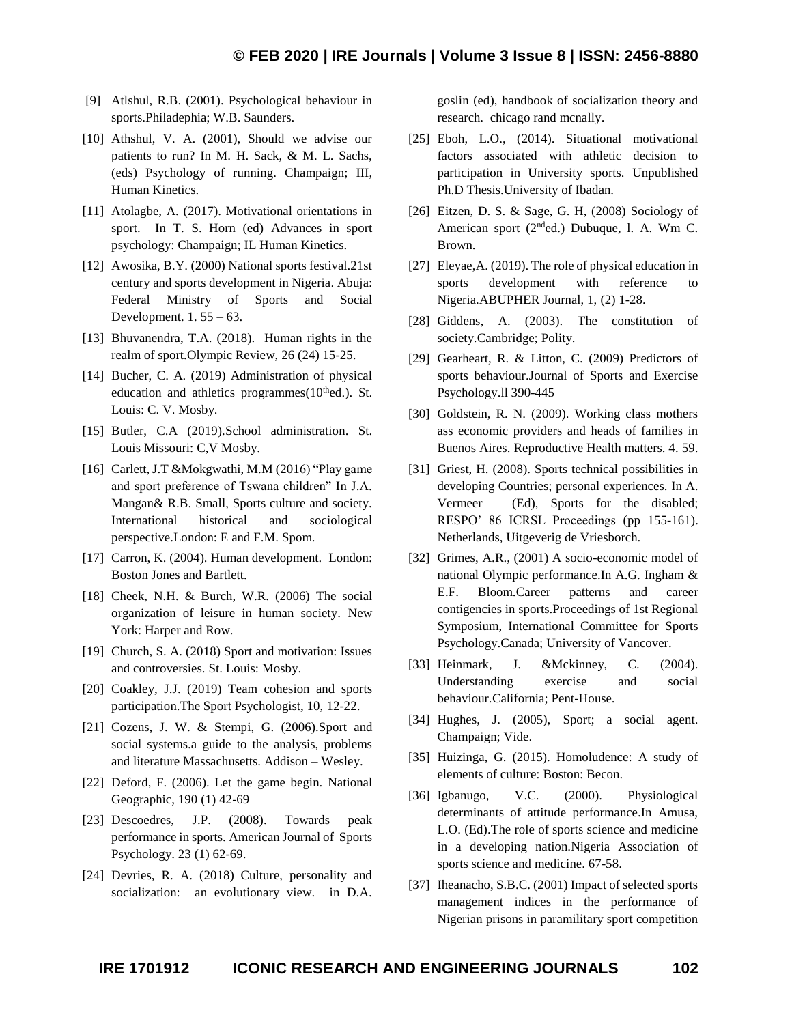- [9] Atlshul, R.B. (2001). Psychological behaviour in sports.Philadephia; W.B. Saunders.
- [10] Athshul, V. A. (2001), Should we advise our patients to run? In M. H. Sack, & M. L. Sachs, (eds) Psychology of running. Champaign; III, Human Kinetics.
- [11] Atolagbe, A. (2017). Motivational orientations in sport. In T. S. Horn (ed) Advances in sport psychology: Champaign; IL Human Kinetics.
- [12] Awosika, B.Y. (2000) National sports festival.21st century and sports development in Nigeria. Abuja: Federal Ministry of Sports and Social Development.  $1.55 - 63$ .
- [13] Bhuvanendra, T.A. (2018). Human rights in the realm of sport.Olympic Review, 26 (24) 15-25.
- [14] Bucher, C. A. (2019) Administration of physical education and athletics programmes $(10<sup>th</sup>$ ed.). St. Louis: C. V. Mosby.
- [15] Butler, C.A (2019). School administration. St. Louis Missouri: C,V Mosby.
- [16] Carlett, J.T &Mokgwathi, M.M (2016) "Play game and sport preference of Tswana children" In J.A. Mangan& R.B. Small, Sports culture and society. International historical and sociological perspective.London: E and F.M. Spom.
- [17] Carron, K. (2004). Human development. London: Boston Jones and Bartlett.
- [18] Cheek, N.H. & Burch, W.R. (2006) The social organization of leisure in human society. New York: Harper and Row.
- [19] Church, S. A. (2018) Sport and motivation: Issues and controversies. St. Louis: Mosby.
- [20] Coakley, J.J. (2019) Team cohesion and sports participation.The Sport Psychologist, 10, 12-22.
- [21] Cozens, J. W. & Stempi, G. (2006).Sport and social systems.a guide to the analysis, problems and literature Massachusetts. Addison – Wesley.
- [22] Deford, F. (2006). Let the game begin. National Geographic, 190 (1) 42-69
- [23] Descoedres, J.P. (2008). Towards peak performance in sports. American Journal of Sports Psychology. 23 (1) 62-69.
- [24] Devries, R. A. (2018) Culture, personality and socialization: an evolutionary view. in D.A.

goslin (ed), handbook of socialization theory and research. chicago rand mcnally.

- [25] Eboh, L.O., (2014). Situational motivational factors associated with athletic decision to participation in University sports. Unpublished Ph.D Thesis.University of Ibadan.
- [26] Eitzen, D. S. & Sage, G. H, (2008) Sociology of American sport (2nded.) Dubuque, l. A. Wm C. Brown.
- [27] Eleyae, A. (2019). The role of physical education in sports development with reference to Nigeria.ABUPHER Journal, 1, (2) 1-28.
- [28] Giddens, A. (2003). The constitution of society.Cambridge; Polity.
- [29] Gearheart, R. & Litton, C. (2009) Predictors of sports behaviour.Journal of Sports and Exercise Psychology.ll 390-445
- [30] Goldstein, R. N. (2009). Working class mothers ass economic providers and heads of families in Buenos Aires. Reproductive Health matters. 4. 59.
- [31] Griest, H. (2008). Sports technical possibilities in developing Countries; personal experiences. In A. Vermeer (Ed), Sports for the disabled; RESPO' 86 ICRSL Proceedings (pp 155-161). Netherlands, Uitgeverig de Vriesborch.
- [32] Grimes, A.R., (2001) A socio-economic model of national Olympic performance.In A.G. Ingham & E.F. Bloom.Career patterns and career contigencies in sports.Proceedings of 1st Regional Symposium, International Committee for Sports Psychology.Canada; University of Vancover.
- [33] Heinmark, J. &Mckinney, C. (2004). Understanding exercise and social behaviour.California; Pent-House.
- [34] Hughes, J. (2005), Sport; a social agent. Champaign; Vide.
- [35] Huizinga, G. (2015). Homoludence: A study of elements of culture: Boston: Becon.
- [36] Igbanugo, V.C. (2000). Physiological determinants of attitude performance.In Amusa, L.O. (Ed).The role of sports science and medicine in a developing nation.Nigeria Association of sports science and medicine. 67-58.
- [37] Iheanacho, S.B.C. (2001) Impact of selected sports management indices in the performance of Nigerian prisons in paramilitary sport competition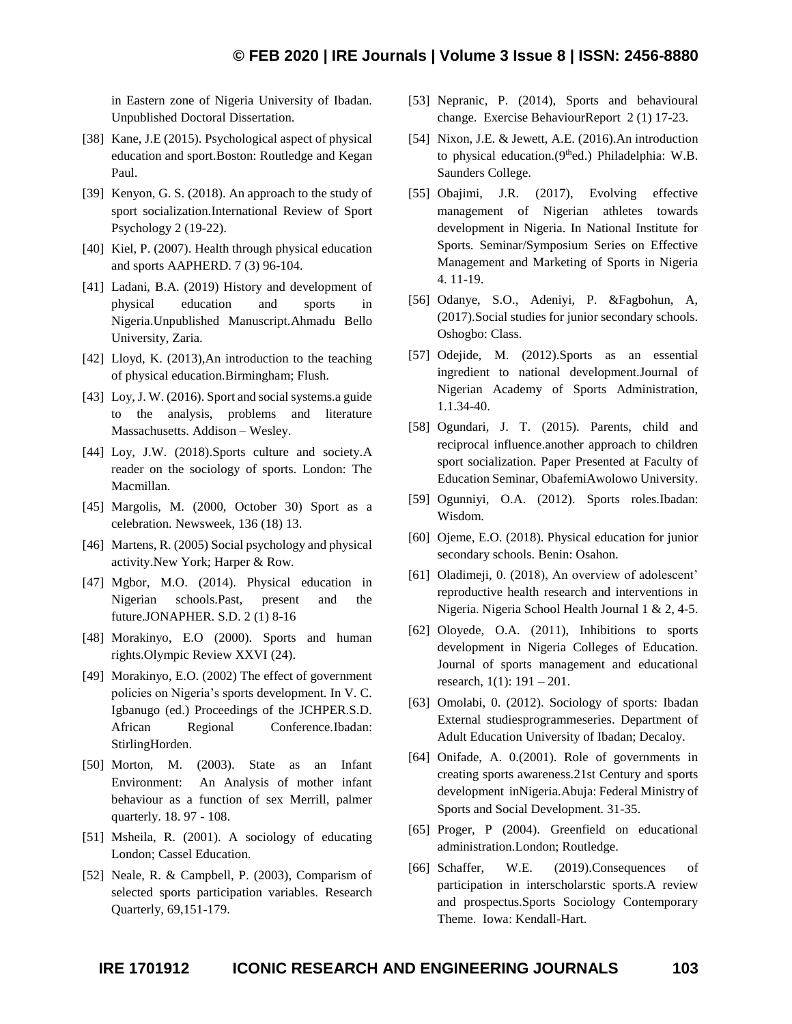in Eastern zone of Nigeria University of Ibadan. Unpublished Doctoral Dissertation.

- [38] Kane, J.E (2015). Psychological aspect of physical education and sport.Boston: Routledge and Kegan Paul.
- [39] Kenyon, G. S. (2018). An approach to the study of sport socialization.International Review of Sport Psychology 2 (19-22).
- [40] Kiel, P. (2007). Health through physical education and sports AAPHERD. 7 (3) 96-104.
- [41] Ladani, B.A. (2019) History and development of physical education and sports in Nigeria.Unpublished Manuscript.Ahmadu Bello University, Zaria.
- [42] Lloyd, K. (2013), An introduction to the teaching of physical education.Birmingham; Flush.
- [43] Loy, J. W. (2016). Sport and social systems.a guide to the analysis, problems and literature Massachusetts. Addison – Wesley.
- [44] Loy, J.W. (2018). Sports culture and society. A reader on the sociology of sports. London: The Macmillan.
- [45] Margolis, M. (2000, October 30) Sport as a celebration. Newsweek, 136 (18) 13.
- [46] Martens, R. (2005) Social psychology and physical activity.New York; Harper & Row.
- [47] Mgbor, M.O. (2014). Physical education in Nigerian schools.Past, present and the future.JONAPHER. S.D. 2 (1) 8-16
- [48] Morakinyo, E.O (2000). Sports and human rights.Olympic Review XXVI (24).
- [49] Morakinyo, E.O. (2002) The effect of government policies on Nigeria's sports development. In V. C. Igbanugo (ed.) Proceedings of the JCHPER.S.D. African Regional Conference.Ibadan: StirlingHorden.
- [50] Morton, M. (2003). State as an Infant Environment: An Analysis of mother infant behaviour as a function of sex Merrill, palmer quarterly. 18. 97 - 108.
- [51] Msheila, R. (2001). A sociology of educating London; Cassel Education.
- [52] Neale, R. & Campbell, P. (2003), Comparism of selected sports participation variables. Research Quarterly, 69,151-179.
- [53] Nepranic, P. (2014), Sports and behavioural change. Exercise BehaviourReport 2 (1) 17-23.
- [54] Nixon, J.E. & Jewett, A.E. (2016).An introduction to physical education.(9thed.) Philadelphia: W.B. Saunders College.
- [55] Obajimi, J.R. (2017), Evolving effective management of Nigerian athletes towards development in Nigeria. In National Institute for Sports. Seminar/Symposium Series on Effective Management and Marketing of Sports in Nigeria 4. 11-19.
- [56] Odanye, S.O., Adeniyi, P. &Fagbohun, A, (2017).Social studies for junior secondary schools. Oshogbo: Class.
- [57] Odejide, M. (2012).Sports as an essential ingredient to national development.Journal of Nigerian Academy of Sports Administration, 1.1.34-40.
- [58] Ogundari, J. T. (2015). Parents, child and reciprocal influence.another approach to children sport socialization. Paper Presented at Faculty of Education Seminar, ObafemiAwolowo University.
- [59] Ogunniyi, O.A. (2012). Sports roles.Ibadan: Wisdom.
- [60] Ojeme, E.O. (2018). Physical education for junior secondary schools. Benin: Osahon.
- [61] Oladimeji, 0. (2018), An overview of adolescent' reproductive health research and interventions in Nigeria. Nigeria School Health Journal 1 & 2, 4-5.
- [62] Oloyede, O.A. (2011), Inhibitions to sports development in Nigeria Colleges of Education. Journal of sports management and educational research, 1(1): 191 – 201.
- [63] Omolabi, 0. (2012). Sociology of sports: Ibadan External studiesprogrammeseries. Department of Adult Education University of Ibadan; Decaloy.
- [64] Onifade, A. 0.(2001). Role of governments in creating sports awareness.21st Century and sports development inNigeria.Abuja: Federal Ministry of Sports and Social Development. 31-35.
- [65] Proger, P (2004). Greenfield on educational administration.London; Routledge.
- [66] Schaffer, W.E. (2019).Consequences of participation in interscholarstic sports.A review and prospectus.Sports Sociology Contemporary Theme. Iowa: Kendall-Hart.